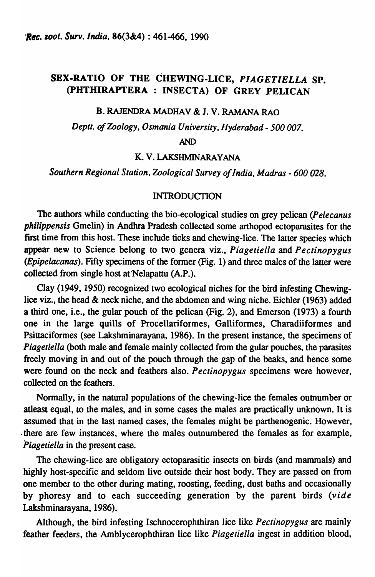# SEX-RATIO OF THE CHEWING-LICE, *PIAGETIELLA* SP. (PHTHIRAPTERA : INSECTA) OF GREY PELICAN

### B. RAJENDRA MADHAV & J. V. RAMANA RAO

*Deptt. of Zoology, Osmania University, Hyderabad* - *500 007.* 

#### AND

K. V. LAKSHMINARAYANA

*Southern Regional Station, Zoological Survey of India, Madras* - *600 028.* 

### INTRODUCTION

The authors while conducting the bio-ecological studies on grey pelican *(Pelecanus philippensis* Gmelin) in Andhra Pradesh collected some arthopod ectoparasites for the first time from this host. These include ticks and chewing-lice. The latter species which appear new to Science belong to two genera viz., *Piagetiella* and *Pectinopygus (Epipelacanas).* Fifty specimens of the former (Fig. 1) and three males of the latter were collected from single host at'Nelapattu (A.P.).

Clay (1949, 1950) recognized two ecological niches for the bird infesting Chewinglice viz., the head & neck niche, and the abdomen and wing niche. Eichler (1963) added a third one, i.e., the gular pouch of the pelican (Fig. 2), and Emerson (1973) a fourth one in the large quills of Procellariformes, Galliformes, Charadiiformes and Psittaciformes (see Lakshminarayana, 1986). In the present instance, the specimens of *Piagetiella* (both male and female mainly collected from the gular pouches, the parasites freely moving in and out of the pouch through the gap of the beaks, and hence some were found on the neck and feathers also. *Pectinopygus* specimens were however, collected on the feathers.

Normally, in the natural populations of the chewing-lice the females oumumber or atleast equal, to the males, and in some cases the males are practically unknown. It is assumed that in the last named cases, the females might be parthenogenic. However, ,there are few instances, where the males outnumbered the females as for example, *Piagetiella* in the present case.

The chewing-lice are obligatory ectoparasitic insects on birds (and mammals) and highly host-specific and seldom live outside their host body. They are passed on from one member to the other during mating, roosting, feeding, dust baths and occasionally by phoresy and to each succeeding generation by the parent birds (vide Lakshminarayana, 1986).

Although, the bird infesting Ischnocerophthiran lice like *Pectinopygus* are mainly feather feeders, the Amblycerophthiran lice like *Piagetiella* ingest in addition blood,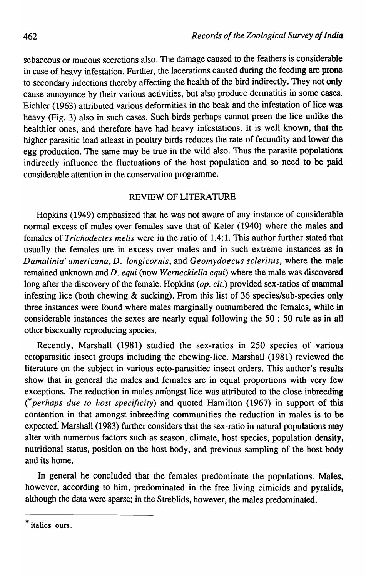sebaceous or mucous secretions also. The damage caused to the feathers is considerable in case of heavy infestation. Further, the lacerations caused during the feeding are prone to secondary infections thereby affecting the health of the bird indirectly. They not only cause annoyance by their various activities, but also produce dermatitis in some cases. Eichler (1963) attributed various deformities in the beak and the infestation of lice was heavy (Fig. 3) also in such cases. Such birds perhaps cannot preen the lice unlike the healthier ones, and therefore have had heavy infestations. It is well known, that the higher parasitic load atleast in poultry birds reduces the rate of fecundity and lower the egg production. The same may be true in the wild also. Thus the parasite populations indirectly influence the fluctuations of the host population and so need to be paid considerable attention in the conservation programme.

# REVIEW OF LITERATURE

Hopkins (1949) emphasized that he was not aware of any instance of considerable normal excess of males over females save that of Keler (1940) where the males and females of *Trichodectes melis* were in the ratio of 1.4:1. This author further stated that usually the females are in excess over males and in such extreme instances as in *Damalinia' americana,* D. *iongicornis,* and *Geomydoecus scleritus,* where the male remained unknown and D. *equi* (now *Werneckiella equi)* where the male was discovered long after the discovery of the female. Hopkins (op. cit.) provided sex-ratios of mammal infesting lice (both chewing & sucking). From this list of 36 species/sub-species only three instances were found where males marginally outnumbered the females, while in considerable instances the sexes are nearly equal following the 50 : 50 rule as in all other bisexually reproducing species.

Recently, Marshall (1981) studied the sex-ratios in 250 species of various ectoparasitic insect groups including the chewing-lice. Marshall (1981) reviewed the literature on the subject in various ecto-parasitiec insect orders. This author's results show that in general the males and females are in equal proportions with very few exceptions. The reduction in males amongst lice was attributed to the close inbreeding (\* *perhaps due to host specificity)* and quoted Hamilton (1967) in support of this contention in that amongst inbreeding communities the reduction in males is to be expected: Marshall (1983) further considers that the sex -ratio in natural populations may alter with numerous factors such as season, climate, host species, population density, nutritional status, position on the host body, and previous sampling of the host body and its home.

In general he concluded that the females predominate the populations. Males, however, according to him, predominated in the free living cimicids and pyralids, although the data were sparse; in the Streblids, however, the males predominated.

\* italics ours.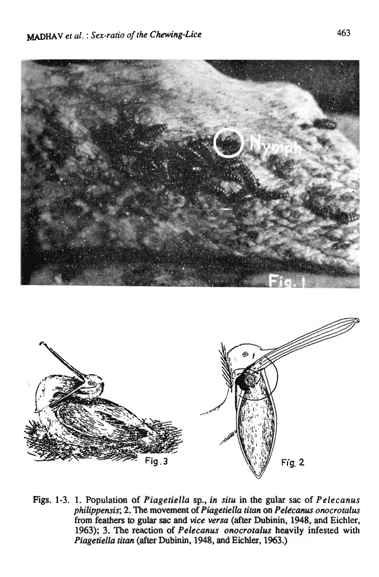

Figs. 1-3. 1. Population of *Piagetiella* sp., *in situ* in the gular sac of *Pelecanus philippensis;* 2. The movement of *Piagetiella titan* on *Peltc,anus onocrotalus*  from feathers to gular sac and *vice versa* (after Dubinin, 1948, and Eichler, 1963); 3. The reaction of *Pelecanus onocrotalus* heavily infested with *Piagetiella titan* (after Dubinin, 1948, and Eichler, 1963.)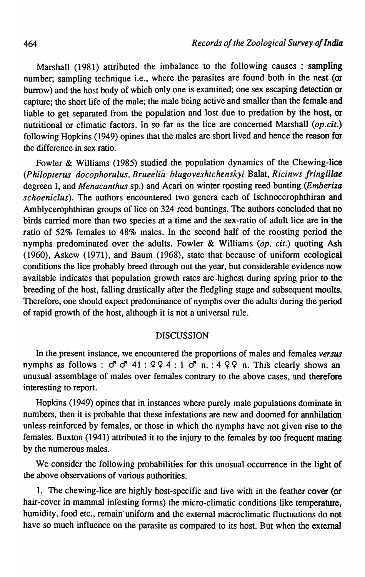Marshall (1981) attributed the imbalance to the following causes : sampling number; sampling technique i.e., where the parasites are found both in the nest (or burrow) and the host body of which only one is examined; one sex escaping detection or capture; the short life of the male; the male being active and smaller than the female and liable to get separated from the population and lost due to predation by the host, or nutritional or climatic factors. In so far as the lice are concerned Marshall *(op.cit.)*  following Hopkins (1949) opines that the males are short lived and hence the reason for the difference in sex ratio.

Fowler & Williams (1985) studied the population dynamics of the Chewing-lice *(Philopterus docophorulus, Brueelia blagoveshtchenskyi* Balat, *Ricinws fringillae*  degreen I, and *Menacanthus* sp.) and Acari on winter roosting reed bunting *(Emberiza schoeniclus).* The authors encountered two genera each of Ischnocerophthiran and Amblycerophthiran groups of lice on 324 reed buntings. The authors concluded that no birds carried more than two species at a time and the sex-ratio of adult lice are in the ratio of 52% females to 48% males. In the second half of the roosting period the nymphs predominated over the adults. Fowler & Williams *(op. cit.)* quoting Ash (1960), Askew (1971), and Baum (1968), state that because of uniform ecological conditions the lice probably breed through out the year, but considerable evidence now available indicates that population growth rates are .highest during spring prior to the breeding of the host, falling drastically after the fledgling stage and subsequent moults. Therefore, one should expect predominance of nymphs over the adults during the period of rapid growth of the host, although it is not a universal rule.

## DISCUSSION

In the present instance, we encountered the proportions of males and females *versus*  nymphs as follows :  $\sigma$   $\sigma$  41 : 9 9 4 : 1  $\sigma$  n. : 4 9 9 n. This clearly shows an unusual assemblage of males over females contrary to the above cases, and therefore interesting to report.

Hopkins (1949) opines that in instances where purely male populations dominate in numbers, then it is probable that these infestations are new and doomed for annhilation unless reinforced by females, or those in which the nymphs have not given rise to the females. Buxton (1941) attributed it to the injury to the females by too frequent mating by the numerous males.

We consider the following probabilities for this unusual occurrence in the light of the above observations of various authorities.

1. The chewing-lice are highly host-specific and live with in the feather cover (or hair-cover in mammal infesting forms) the micro-climatic conditions like temperature, humidity, food etc., remain' uniform and the external macroclimatic fluctuations do not have so much influence on the parasite as compared to its host. But when the external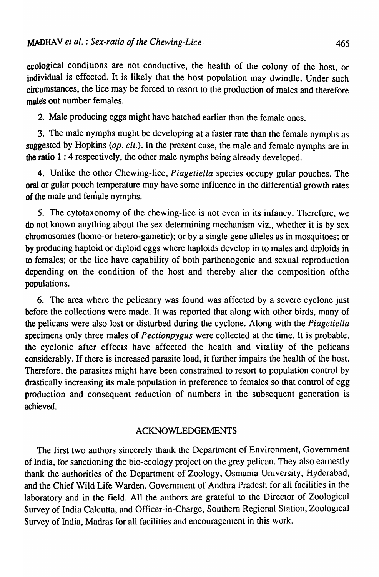ecological conditions are not conductive, the health of the colony of the host, or individual is effected. It is likely that the host population may dwindle. Under such circumstances, the lice may be forced to resort to the production of males and therefore males out number females.

2. Male producing eggs might have hatched earlier than the female ones.

3. The male nymphs might be developing at a faster rate than the female nymphs as suggested by Hopkins *(op. cit.).* In the present case, the male and female nymphs are in the ratio 1 : 4 respectively, the other male nymphs being already developed.

4. Unlike the other Chewing-lice, *Piagetiella* species occupy gular pouches. The oral or gular pouch temperature may have some influence in the differential growth rates of the male and female nymphs.

5. The cytotaxonomy of the chewing-lice is not even in its infancy. Therefore, we do not known anything about the sex determining mechanism viz., whether it is by sex chromosomes (homo-or hetero-gametic); or by a single gene alleles as in mosquitoes; or by producing haploid or diploid eggs where haploids develop in to males and diploids in to females; or the lice have capability of both parthenogenic and sexual reproduction depending on the condition of the host and thereby alter the composition of the populations.

6. The area where the pelicanry was found was affected by a severe cyclone just before the collections were made. It was reported that along with other birds, many of the pelicans were also lost or disturbed during the cyclone. Along with the *Piagetiella*  specimens only three males of *Pectionpygus* were collected at the time. It is probable, the cyclonic after effects have affected the health and vitality of the pelicans considerably. If there is increased parasite load, it further impairs the health of the host. Therefore, the parasites might have been constrained to resort to population control by drastically increasing its male population in preference to females so that control of egg production and consequent reduction of numbers in the subsequent generation is achieved.

# ACKNOWLEDGEMENTS

The first two authors sincerely thank the Department of Environment, Government of India, for sanctioning the bio-ecology project on the grey pelican. They also earnestly thank the authorities of the Department of Zoology, Osmania University, Hydcrabad, and the Chief Wild Life Warden. Government of Andhra Pradesh for all facilities in the laboratory and in the field. All the authors are grateful to the Director of Zoological Survey of India Calcutta, and Officer-in-Charge, Southern Regional Station, Zoological Survey of India, Madras for all facilities and encouragement in this work.